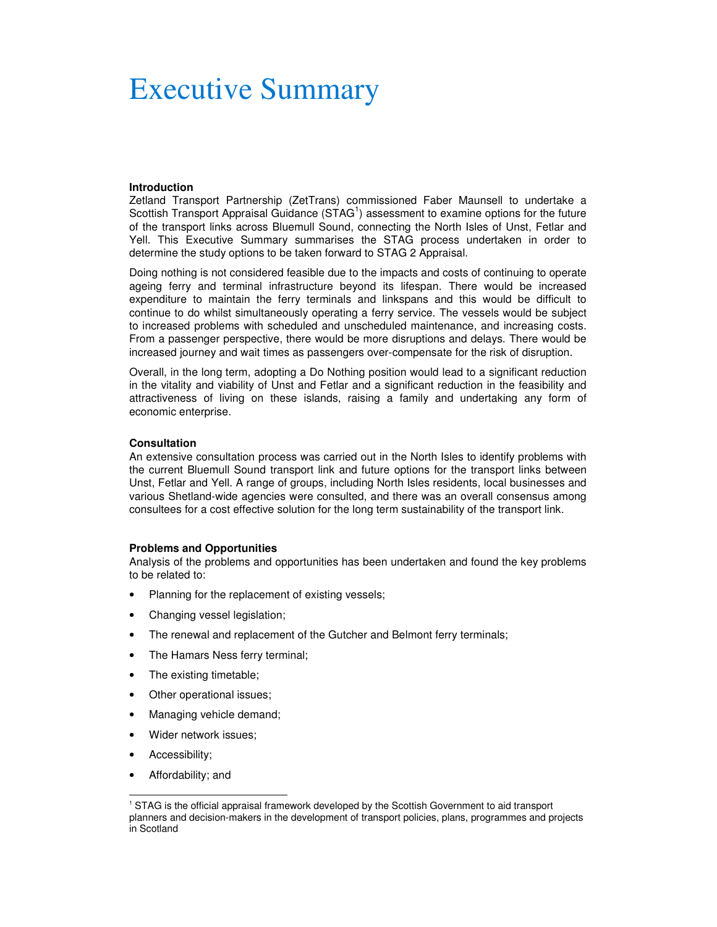# Executive Summary

# **Introduction**

Zetland Transport Partnership (ZetTrans) commissioned Faber Maunsell to undertake a Scottish Transport Appraisal Guidance (STAG<sup>1</sup>) assessment to examine options for the future of the transport links across Bluemull Sound, connecting the North Isles of Unst, Fetlar and Yell. This Executive Summary summarises the STAG process undertaken in order to determine the study options to be taken forward to STAG 2 Appraisal.

Doing nothing is not considered feasible due to the impacts and costs of continuing to operate ageing ferry and terminal infrastructure beyond its lifespan. There would be increased expenditure to maintain the ferry terminals and linkspans and this would be difficult to continue to do whilst simultaneously operating a ferry service. The vessels would be subject to increased problems with scheduled and unscheduled maintenance, and increasing costs. From a passenger perspective, there would be more disruptions and delays. There would be increased journey and wait times as passengers over-compensate for the risk of disruption.

Overall, in the long term, adopting a Do Nothing position would lead to a significant reduction in the vitality and viability of Unst and Fetlar and a significant reduction in the feasibility and attractiveness of living on these islands, raising a family and undertaking any form of economic enterprise.

#### **Consultation**

An extensive consultation process was carried out in the North Isles to identify problems with the current Bluemull Sound transport link and future options for the transport links between Unst, Fetlar and Yell. A range of groups, including North Isles residents, local businesses and various Shetland-wide agencies were consulted, and there was an overall consensus among consultees for a cost effective solution for the long term sustainability of the transport link.

#### **Problems and Opportunities**

Analysis of the problems and opportunities has been undertaken and found the key problems to be related to:

- Planning for the replacement of existing vessels;
- Changing vessel legislation;
- The renewal and replacement of the Gutcher and Belmont ferry terminals;
- The Hamars Ness ferry terminal;
- The existing timetable;
- Other operational issues;
- Managing vehicle demand;
- Wider network issues;
- Accessibility;

 $\overline{a}$ 

• Affordability; and

<sup>1</sup> STAG is the official appraisal framework developed by the Scottish Government to aid transport planners and decision-makers in the development of transport policies, plans, programmes and projects in Scotland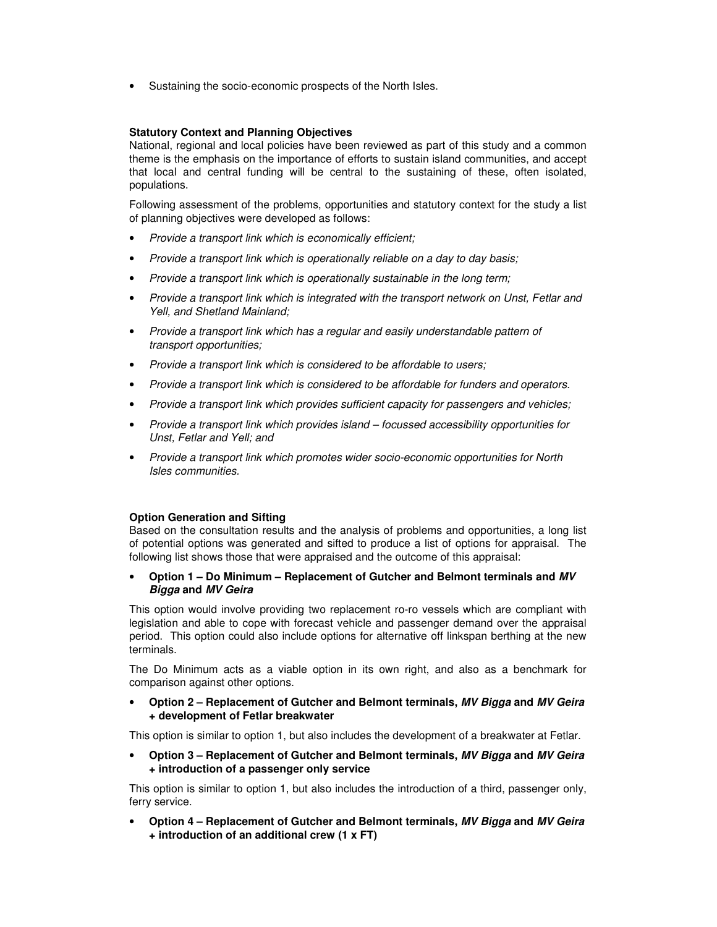• Sustaining the socio-economic prospects of the North Isles.

# **Statutory Context and Planning Objectives**

National, regional and local policies have been reviewed as part of this study and a common theme is the emphasis on the importance of efforts to sustain island communities, and accept that local and central funding will be central to the sustaining of these, often isolated, populations.

Following assessment of the problems, opportunities and statutory context for the study a list of planning objectives were developed as follows:

- Provide a transport link which is economically efficient;
- Provide a transport link which is operationally reliable on a day to day basis;
- Provide a transport link which is operationally sustainable in the long term;
- Provide a transport link which is integrated with the transport network on Unst, Fetlar and Yell, and Shetland Mainland;
- Provide a transport link which has a regular and easily understandable pattern of transport opportunities;
- Provide a transport link which is considered to be affordable to users;
- Provide a transport link which is considered to be affordable for funders and operators.
- Provide a transport link which provides sufficient capacity for passengers and vehicles;
- Provide a transport link which provides island focussed accessibility opportunities for Unst, Fetlar and Yell; and
- Provide a transport link which promotes wider socio-economic opportunities for North Isles communities.

# **Option Generation and Sifting**

Based on the consultation results and the analysis of problems and opportunities, a long list of potential options was generated and sifted to produce a list of options for appraisal. The following list shows those that were appraised and the outcome of this appraisal:

# • **Option 1 – Do Minimum – Replacement of Gutcher and Belmont terminals and MV Bigga and MV Geira**

This option would involve providing two replacement ro-ro vessels which are compliant with legislation and able to cope with forecast vehicle and passenger demand over the appraisal period. This option could also include options for alternative off linkspan berthing at the new terminals.

The Do Minimum acts as a viable option in its own right, and also as a benchmark for comparison against other options.

• **Option 2 – Replacement of Gutcher and Belmont terminals, MV Bigga and MV Geira + development of Fetlar breakwater** 

This option is similar to option 1, but also includes the development of a breakwater at Fetlar.

• **Option 3 – Replacement of Gutcher and Belmont terminals, MV Bigga and MV Geira + introduction of a passenger only service** 

This option is similar to option 1, but also includes the introduction of a third, passenger only, ferry service.

• **Option 4 – Replacement of Gutcher and Belmont terminals, MV Bigga and MV Geira + introduction of an additional crew (1 x FT)**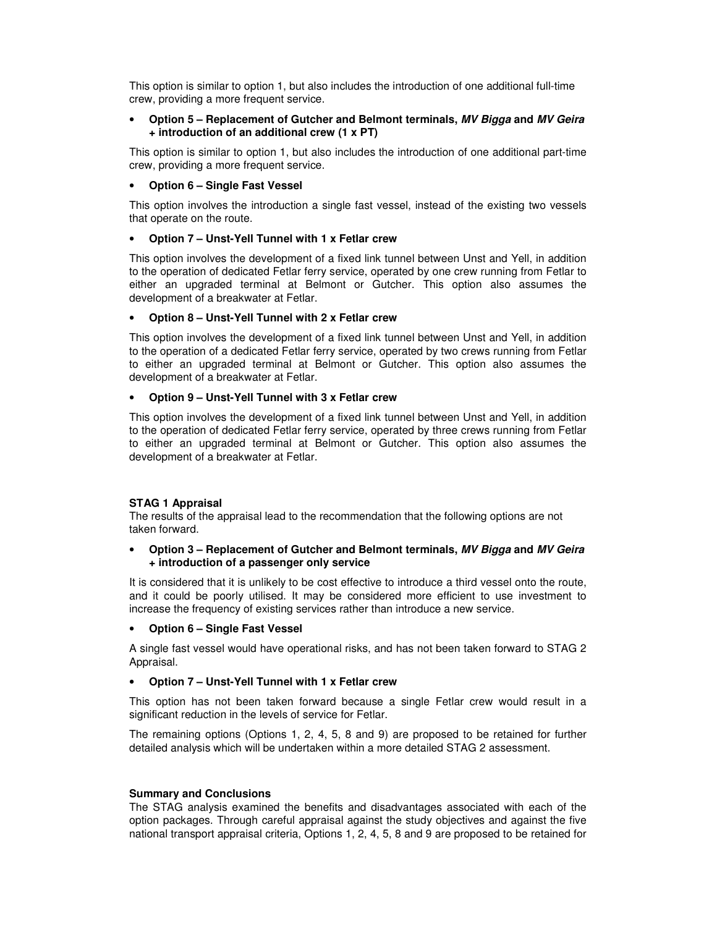This option is similar to option 1, but also includes the introduction of one additional full-time crew, providing a more frequent service.

# • **Option 5 – Replacement of Gutcher and Belmont terminals, MV Bigga and MV Geira + introduction of an additional crew (1 x PT)**

This option is similar to option 1, but also includes the introduction of one additional part-time crew, providing a more frequent service.

# • **Option 6 – Single Fast Vessel**

This option involves the introduction a single fast vessel, instead of the existing two vessels that operate on the route.

# • **Option 7 – Unst-Yell Tunnel with 1 x Fetlar crew**

This option involves the development of a fixed link tunnel between Unst and Yell, in addition to the operation of dedicated Fetlar ferry service, operated by one crew running from Fetlar to either an upgraded terminal at Belmont or Gutcher. This option also assumes the development of a breakwater at Fetlar.

### • **Option 8 – Unst-Yell Tunnel with 2 x Fetlar crew**

This option involves the development of a fixed link tunnel between Unst and Yell, in addition to the operation of a dedicated Fetlar ferry service, operated by two crews running from Fetlar to either an upgraded terminal at Belmont or Gutcher. This option also assumes the development of a breakwater at Fetlar.

### • **Option 9 – Unst-Yell Tunnel with 3 x Fetlar crew**

This option involves the development of a fixed link tunnel between Unst and Yell, in addition to the operation of dedicated Fetlar ferry service, operated by three crews running from Fetlar to either an upgraded terminal at Belmont or Gutcher. This option also assumes the development of a breakwater at Fetlar.

# **STAG 1 Appraisal**

The results of the appraisal lead to the recommendation that the following options are not taken forward.

# • **Option 3 – Replacement of Gutcher and Belmont terminals, MV Bigga and MV Geira + introduction of a passenger only service**

It is considered that it is unlikely to be cost effective to introduce a third vessel onto the route, and it could be poorly utilised. It may be considered more efficient to use investment to increase the frequency of existing services rather than introduce a new service.

# • **Option 6 – Single Fast Vessel**

A single fast vessel would have operational risks, and has not been taken forward to STAG 2 Appraisal.

# • **Option 7 – Unst-Yell Tunnel with 1 x Fetlar crew**

This option has not been taken forward because a single Fetlar crew would result in a significant reduction in the levels of service for Fetlar.

The remaining options (Options 1, 2, 4, 5, 8 and 9) are proposed to be retained for further detailed analysis which will be undertaken within a more detailed STAG 2 assessment.

#### **Summary and Conclusions**

The STAG analysis examined the benefits and disadvantages associated with each of the option packages. Through careful appraisal against the study objectives and against the five national transport appraisal criteria, Options 1, 2, 4, 5, 8 and 9 are proposed to be retained for